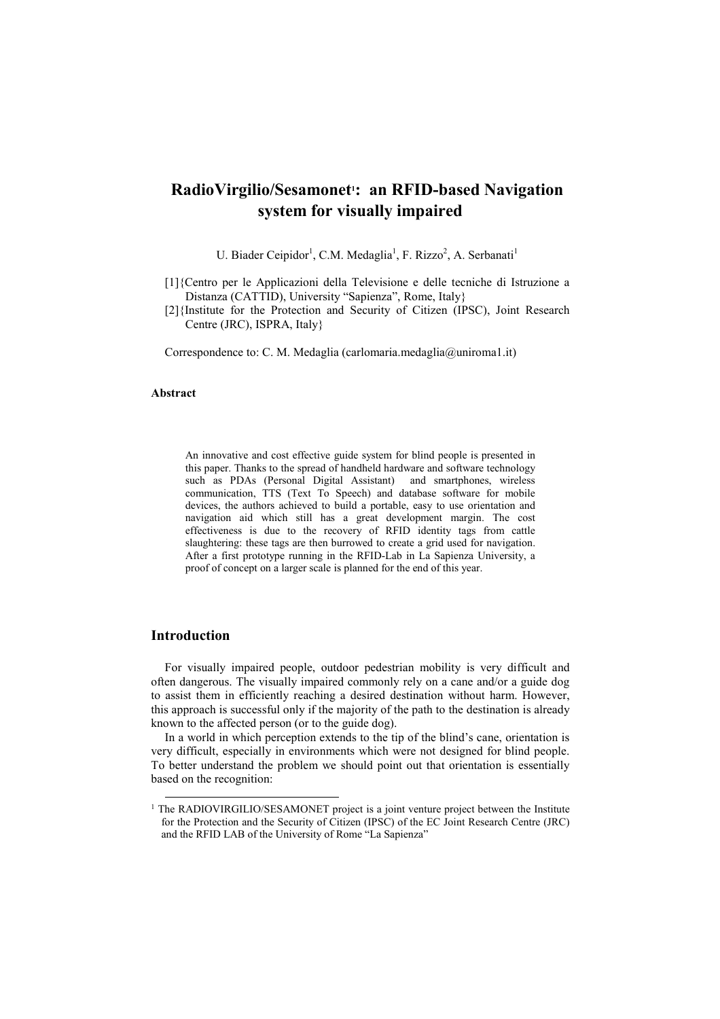# **RadioVirgilio/Sesamonet1: an RFID-based Navigation system for visually impaired**

U. Biader Ceipidor<sup>1</sup>, C.M. Medaglia<sup>1</sup>, F. Rizzo<sup>2</sup>, A. Serbanati<sup>1</sup>

- [1]{Centro per le Applicazioni della Televisione e delle tecniche di Istruzione a Distanza (CATTID), University "Sapienza", Rome, Italy}
- [2]{Institute for the Protection and Security of Citizen (IPSC), Joint Research Centre (JRC), ISPRA, Italy}

Correspondence to: C. M. Medaglia (carlomaria.medaglia@uniroma1.it)

# **Abstract**

An innovative and cost effective guide system for blind people is presented in this paper. Thanks to the spread of handheld hardware and software technology such as PDAs (Personal Digital Assistant) and smartphones, wireless communication, TTS (Text To Speech) and database software for mobile devices, the authors achieved to build a portable, easy to use orientation and navigation aid which still has a great development margin. The cost effectiveness is due to the recovery of RFID identity tags from cattle slaughtering: these tags are then burrowed to create a grid used for navigation. After a first prototype running in the RFID-Lab in La Sapienza University, a proof of concept on a larger scale is planned for the end of this year.

# **Introduction**

For visually impaired people, outdoor pedestrian mobility is very difficult and often dangerous. The visually impaired commonly rely on a cane and/or a guide dog to assist them in efficiently reaching a desired destination without harm. However, this approach is successful only if the majority of the path to the destination is already known to the affected person (or to the guide dog).

In a world in which perception extends to the tip of the blind's cane, orientation is very difficult, especially in environments which were not designed for blind people. To better understand the problem we should point out that orientation is essentially based on the recognition:

<sup>&</sup>lt;sup>1</sup> The RADIOVIRGILIO/SESAMONET project is a joint venture project between the Institute for the Protection and the Security of Citizen (IPSC) of the EC Joint Research Centre (JRC) and the RFID LAB of the University of Rome "La Sapienza"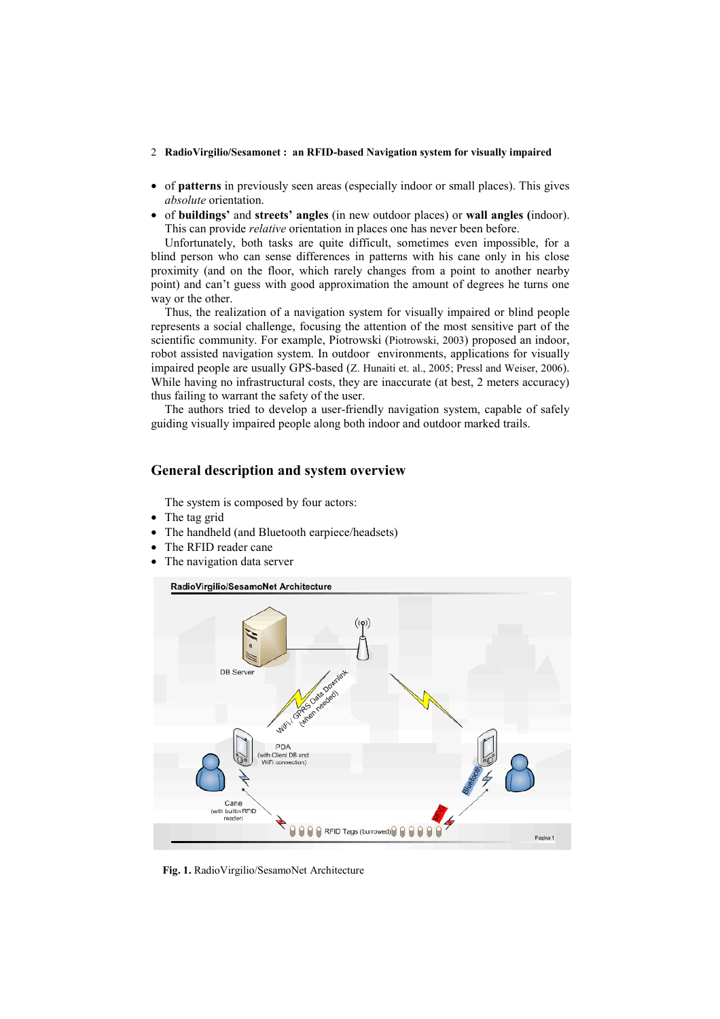- 2 **RadioVirgilio/Sesamonet : an RFID-based Navigation system for visually impaired**
- of **patterns** in previously seen areas (especially indoor or small places). This gives *absolute* orientation.
- of **buildings'** and **streets' angles** (in new outdoor places) or **wall angles (**indoor). This can provide *relative* orientation in places one has never been before.

Unfortunately, both tasks are quite difficult, sometimes even impossible, for a blind person who can sense differences in patterns with his cane only in his close proximity (and on the floor, which rarely changes from a point to another nearby point) and can't guess with good approximation the amount of degrees he turns one way or the other.

Thus, the realization of a navigation system for visually impaired or blind people represents a social challenge, focusing the attention of the most sensitive part of the scientific community. For example, Piotrowski (Piotrowski, 2003) proposed an indoor, robot assisted navigation system. In outdoor environments, applications for visually impaired people are usually GPS-based (Z. Hunaiti et. al., 2005; Pressl and Weiser, 2006). While having no infrastructural costs, they are inaccurate (at best, 2 meters accuracy) thus failing to warrant the safety of the user.

The authors tried to develop a user-friendly navigation system, capable of safely guiding visually impaired people along both indoor and outdoor marked trails.

# **General description and system overview**

The system is composed by four actors:

- The tag grid
- The handheld (and Bluetooth earpiece/headsets)
- The RFID reader cane
- The navigation data server



**Fig. 1.** RadioVirgilio/SesamoNet Architecture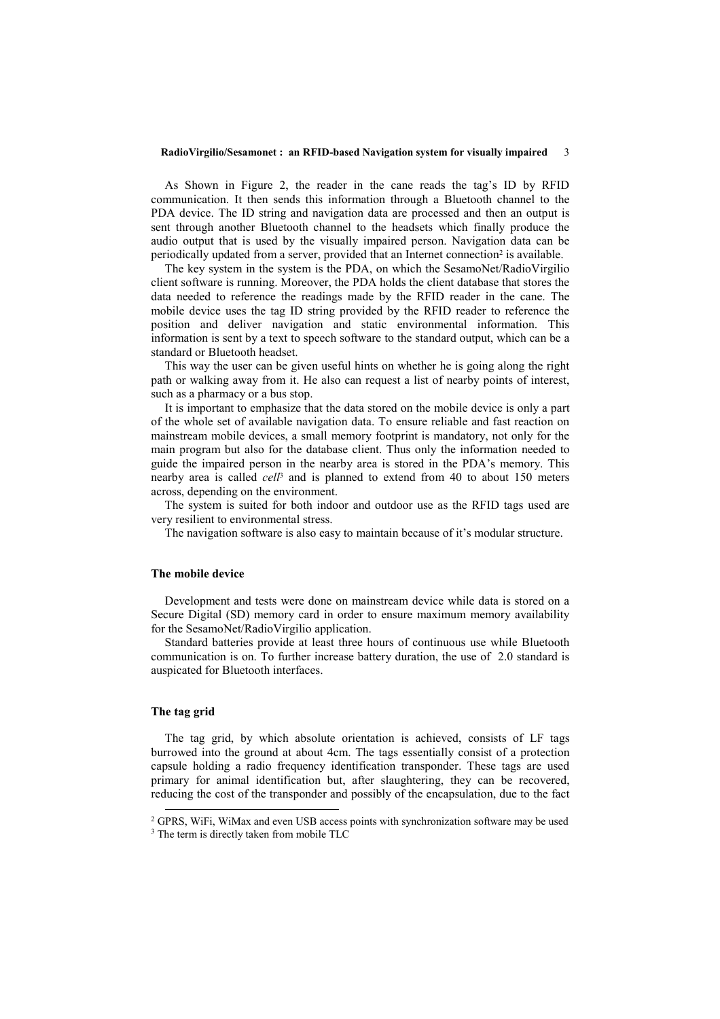#### **RadioVirgilio/Sesamonet : an RFID-based Navigation system for visually impaired** 3

As Shown in Figure 2, the reader in the cane reads the tag's ID by RFID communication. It then sends this information through a Bluetooth channel to the PDA device. The ID string and navigation data are processed and then an output is sent through another Bluetooth channel to the headsets which finally produce the audio output that is used by the visually impaired person. Navigation data can be periodically updated from a server, provided that an Internet connection<sup>2</sup> is available.

The key system in the system is the PDA, on which the SesamoNet/RadioVirgilio client software is running. Moreover, the PDA holds the client database that stores the data needed to reference the readings made by the RFID reader in the cane. The mobile device uses the tag ID string provided by the RFID reader to reference the position and deliver navigation and static environmental information. This information is sent by a text to speech software to the standard output, which can be a standard or Bluetooth headset.

This way the user can be given useful hints on whether he is going along the right path or walking away from it. He also can request a list of nearby points of interest, such as a pharmacy or a bus stop.

It is important to emphasize that the data stored on the mobile device is only a part of the whole set of available navigation data. To ensure reliable and fast reaction on mainstream mobile devices, a small memory footprint is mandatory, not only for the main program but also for the database client. Thus only the information needed to guide the impaired person in the nearby area is stored in the PDA's memory. This nearby area is called *cell*3 and is planned to extend from 40 to about 150 meters across, depending on the environment.

The system is suited for both indoor and outdoor use as the RFID tags used are very resilient to environmental stress.

The navigation software is also easy to maintain because of it's modular structure.

### **The mobile device**

Development and tests were done on mainstream device while data is stored on a Secure Digital (SD) memory card in order to ensure maximum memory availability for the SesamoNet/RadioVirgilio application.

Standard batteries provide at least three hours of continuous use while Bluetooth communication is on. To further increase battery duration, the use of 2.0 standard is auspicated for Bluetooth interfaces.

# **The tag grid**

The tag grid, by which absolute orientation is achieved, consists of LF tags burrowed into the ground at about 4cm. The tags essentially consist of a protection capsule holding a radio frequency identification transponder. These tags are used primary for animal identification but, after slaughtering, they can be recovered, reducing the cost of the transponder and possibly of the encapsulation, due to the fact

 <sup>2</sup> GPRS, WiFi, WiMax and even USB access points with synchronization software may be used <sup>3</sup> The term is directly taken from mobile TLC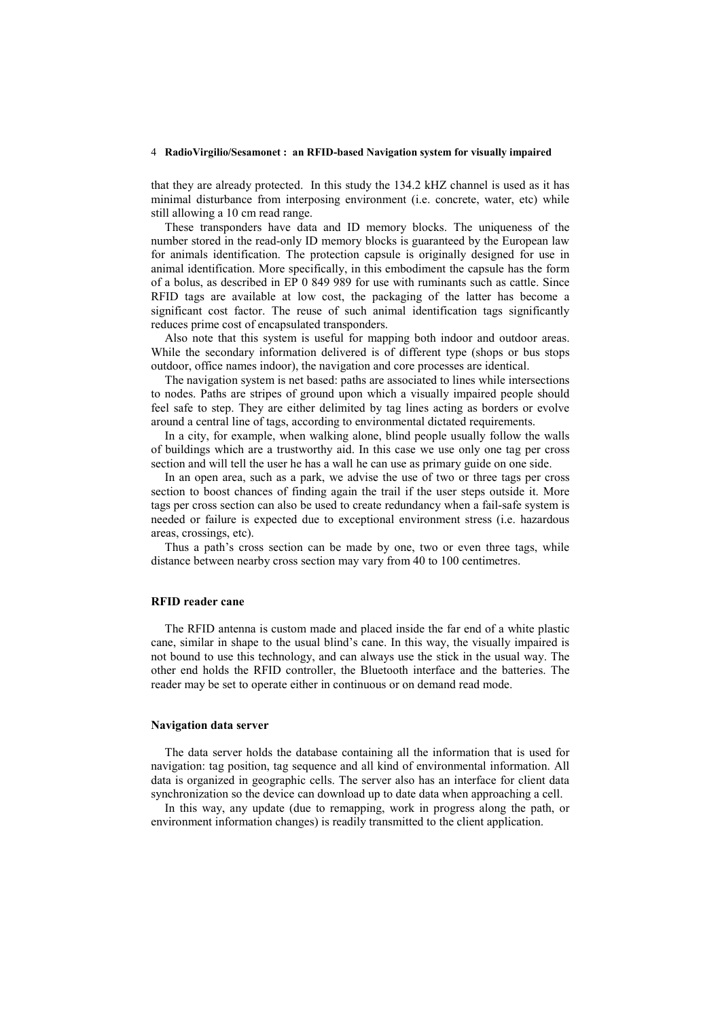#### 4 **RadioVirgilio/Sesamonet : an RFID-based Navigation system for visually impaired**

that they are already protected. In this study the 134.2 kHZ channel is used as it has minimal disturbance from interposing environment (i.e. concrete, water, etc) while still allowing a 10 cm read range.

These transponders have data and ID memory blocks. The uniqueness of the number stored in the read-only ID memory blocks is guaranteed by the European law for animals identification. The protection capsule is originally designed for use in animal identification. More specifically, in this embodiment the capsule has the form of a bolus, as described in EP 0 849 989 for use with ruminants such as cattle. Since RFID tags are available at low cost, the packaging of the latter has become a significant cost factor. The reuse of such animal identification tags significantly reduces prime cost of encapsulated transponders.

Also note that this system is useful for mapping both indoor and outdoor areas. While the secondary information delivered is of different type (shops or bus stops outdoor, office names indoor), the navigation and core processes are identical.

The navigation system is net based: paths are associated to lines while intersections to nodes. Paths are stripes of ground upon which a visually impaired people should feel safe to step. They are either delimited by tag lines acting as borders or evolve around a central line of tags, according to environmental dictated requirements.

In a city, for example, when walking alone, blind people usually follow the walls of buildings which are a trustworthy aid. In this case we use only one tag per cross section and will tell the user he has a wall he can use as primary guide on one side.

In an open area, such as a park, we advise the use of two or three tags per cross section to boost chances of finding again the trail if the user steps outside it. More tags per cross section can also be used to create redundancy when a fail-safe system is needed or failure is expected due to exceptional environment stress (i.e. hazardous areas, crossings, etc).

Thus a path's cross section can be made by one, two or even three tags, while distance between nearby cross section may vary from 40 to 100 centimetres.

# **RFID reader cane**

The RFID antenna is custom made and placed inside the far end of a white plastic cane, similar in shape to the usual blind's cane. In this way, the visually impaired is not bound to use this technology, and can always use the stick in the usual way. The other end holds the RFID controller, the Bluetooth interface and the batteries. The reader may be set to operate either in continuous or on demand read mode.

#### **Navigation data server**

The data server holds the database containing all the information that is used for navigation: tag position, tag sequence and all kind of environmental information. All data is organized in geographic cells. The server also has an interface for client data synchronization so the device can download up to date data when approaching a cell.

In this way, any update (due to remapping, work in progress along the path, or environment information changes) is readily transmitted to the client application.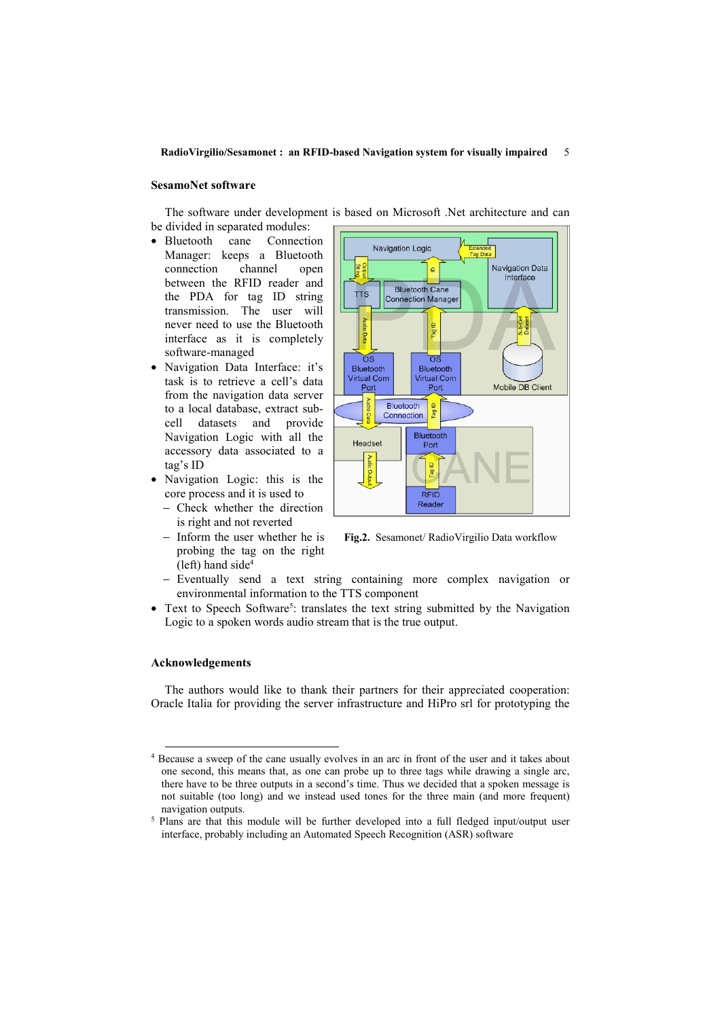#### **SesamoNet software**

The software under development is based on Microsoft .Net architecture and can be divided in separated modules:

- Bluetooth cane Connection Manager: keeps a Bluetooth connection channel open between the RFID reader and the PDA for tag ID string transmission. The user will never need to use the Bluetooth interface as it is completely software-managed
- Navigation Data Interface: it's task is to retrieve a cell's data from the navigation data server to a local database, extract subcell datasets and provide Navigation Logic with all the accessory data associated to a tag's ID
- Navigation Logic: this is the core process and it is used to
	- − Check whether the direction is right and not reverted
	- − Inform the user whether he is probing the tag on the right (left) hand side<sup>4</sup>



**Fig.2.** Sesamonet/ RadioVirgilio Data workflow

- − Eventually send a text string containing more complex navigation or environmental information to the TTS component
- Text to Speech Software<sup>5</sup>: translates the text string submitted by the Navigation Logic to a spoken words audio stream that is the true output.

## **Acknowledgements**

The authors would like to thank their partners for their appreciated cooperation: Oracle Italia for providing the server infrastructure and HiPro srl for prototyping the

 <sup>4</sup> Because a sweep of the cane usually evolves in an arc in front of the user and it takes about one second, this means that, as one can probe up to three tags while drawing a single arc, there have to be three outputs in a second's time. Thus we decided that a spoken message is not suitable (too long) and we instead used tones for the three main (and more frequent) navigation outputs.<br><sup>5</sup> Plans are that this module will be further developed into a full fledged input/output user

interface, probably including an Automated Speech Recognition (ASR) software